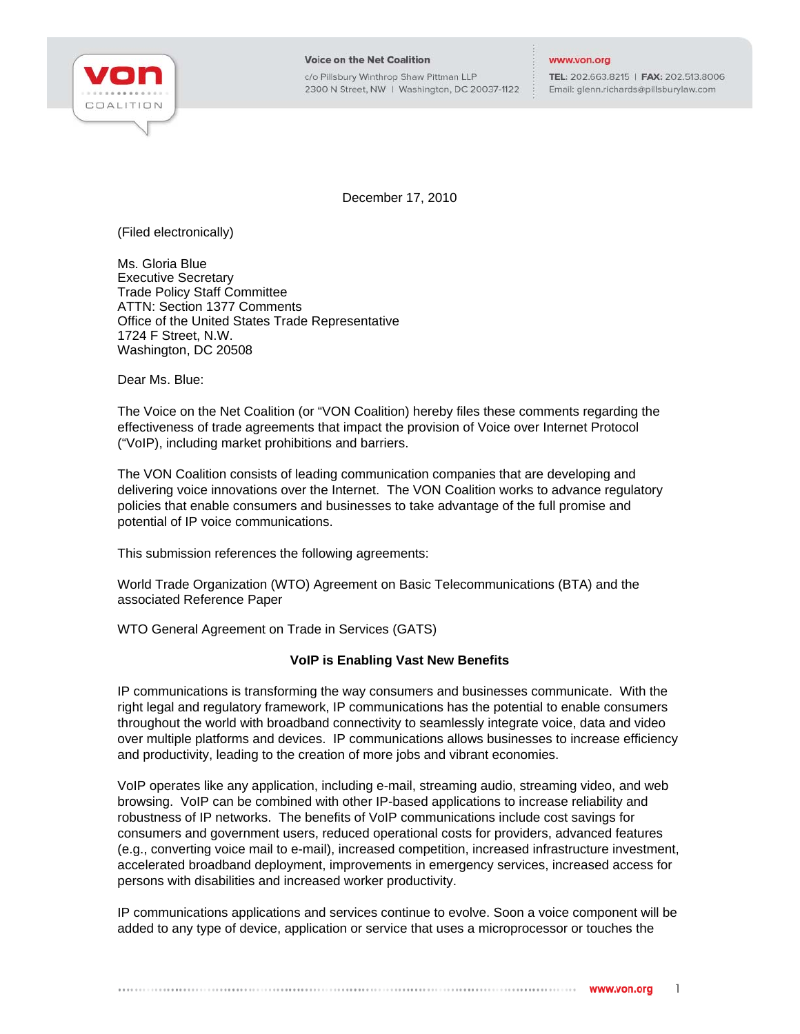

c/o Pillsbury Winthrop Shaw Pittman LLP 2300 N Street, NW | Washington, DC 20037-1122

#### www.von.org

TEL: 202.663.8215 | FAX: 202.513.8006 Email: glenn.richards@pillsburylaw.com

December 17, 2010

(Filed electronically)

Ms. Gloria Blue Executive Secretary Trade Policy Staff Committee ATTN: Section 1377 Comments Office of the United States Trade Representative 1724 F Street, N.W. Washington, DC 20508

Dear Ms. Blue:

The Voice on the Net Coalition (or "VON Coalition) hereby files these comments regarding the effectiveness of trade agreements that impact the provision of Voice over Internet Protocol ("VoIP), including market prohibitions and barriers.

The VON Coalition consists of leading communication companies that are developing and delivering voice innovations over the Internet. The VON Coalition works to advance regulatory policies that enable consumers and businesses to take advantage of the full promise and potential of IP voice communications.

This submission references the following agreements:

World Trade Organization (WTO) Agreement on Basic Telecommunications (BTA) and the associated Reference Paper

WTO General Agreement on Trade in Services (GATS)

# **VoIP is Enabling Vast New Benefits**

IP communications is transforming the way consumers and businesses communicate. With the right legal and regulatory framework, IP communications has the potential to enable consumers throughout the world with broadband connectivity to seamlessly integrate voice, data and video over multiple platforms and devices. IP communications allows businesses to increase efficiency and productivity, leading to the creation of more jobs and vibrant economies.

VoIP operates like any application, including e-mail, streaming audio, streaming video, and web browsing. VoIP can be combined with other IP-based applications to increase reliability and robustness of IP networks. The benefits of VoIP communications include cost savings for consumers and government users, reduced operational costs for providers, advanced features (e.g., converting voice mail to e-mail), increased competition, increased infrastructure investment, accelerated broadband deployment, improvements in emergency services, increased access for persons with disabilities and increased worker productivity.

IP communications applications and services continue to evolve. Soon a voice component will be added to any type of device, application or service that uses a microprocessor or touches the

1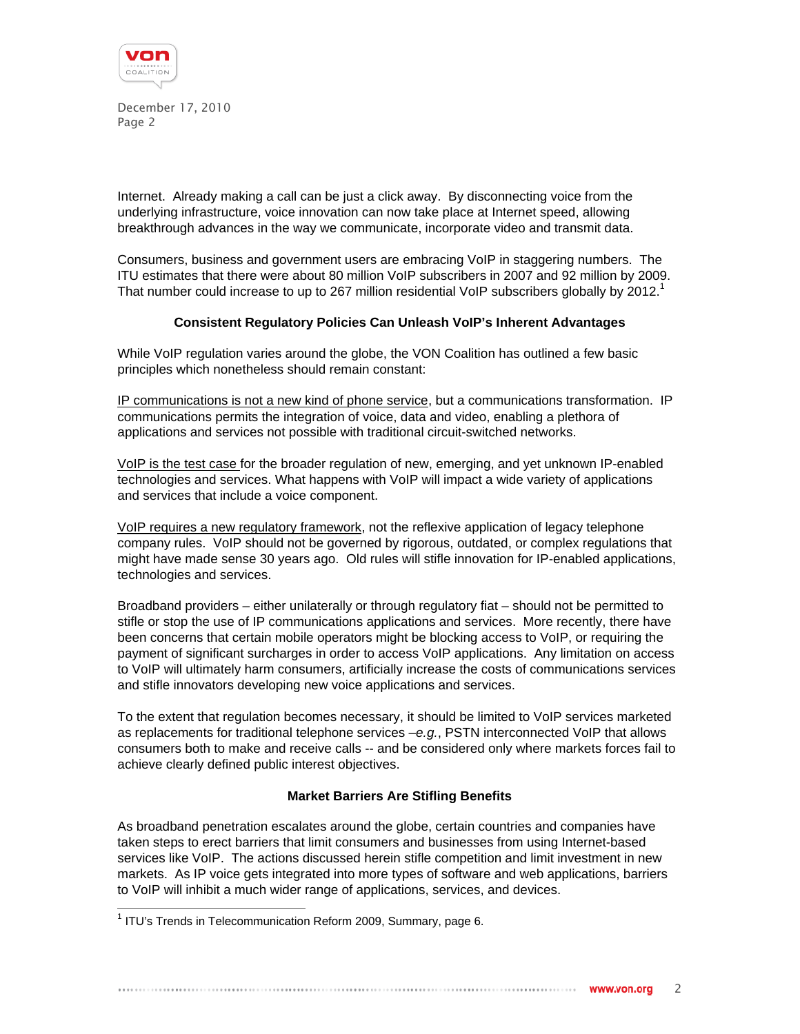

Internet. Already making a call can be just a click away. By disconnecting voice from the underlying infrastructure, voice innovation can now take place at Internet speed, allowing breakthrough advances in the way we communicate, incorporate video and transmit data.

Consumers, business and government users are embracing VoIP in staggering numbers. The ITU estimates that there were about 80 million VoIP subscribers in 2007 and 92 million by 2009. That number could increase to up to 267 million residential VoIP subscribers globally by 2012.<sup>1</sup>

## **Consistent Regulatory Policies Can Unleash VoIP's Inherent Advantages**

While VoIP regulation varies around the globe, the VON Coalition has outlined a few basic principles which nonetheless should remain constant:

IP communications is not a new kind of phone service, but a communications transformation. IP communications permits the integration of voice, data and video, enabling a plethora of applications and services not possible with traditional circuit-switched networks.

VoIP is the test case for the broader regulation of new, emerging, and yet unknown IP-enabled technologies and services. What happens with VoIP will impact a wide variety of applications and services that include a voice component.

VoIP requires a new regulatory framework, not the reflexive application of legacy telephone company rules. VoIP should not be governed by rigorous, outdated, or complex regulations that might have made sense 30 years ago. Old rules will stifle innovation for IP-enabled applications, technologies and services.

Broadband providers – either unilaterally or through regulatory fiat – should not be permitted to stifle or stop the use of IP communications applications and services. More recently, there have been concerns that certain mobile operators might be blocking access to VoIP, or requiring the payment of significant surcharges in order to access VoIP applications. Any limitation on access to VoIP will ultimately harm consumers, artificially increase the costs of communications services and stifle innovators developing new voice applications and services.

To the extent that regulation becomes necessary, it should be limited to VoIP services marketed as replacements for traditional telephone services –*e.g.*, PSTN interconnected VoIP that allows consumers both to make and receive calls -- and be considered only where markets forces fail to achieve clearly defined public interest objectives.

# **Market Barriers Are Stifling Benefits**

As broadband penetration escalates around the globe, certain countries and companies have taken steps to erect barriers that limit consumers and businesses from using Internet-based services like VoIP. The actions discussed herein stifle competition and limit investment in new markets. As IP voice gets integrated into more types of software and web applications, barriers to VoIP will inhibit a much wider range of applications, services, and devices.

 1 ITU's Trends in Telecommunication Reform 2009, Summary, page 6.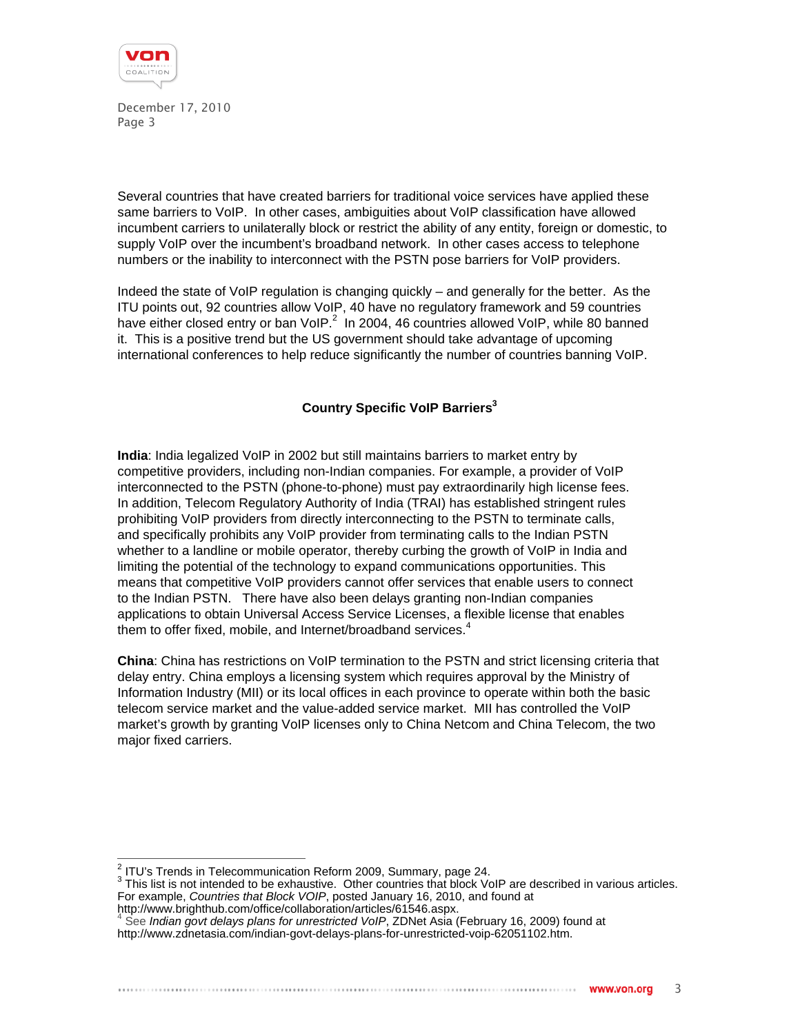

Several countries that have created barriers for traditional voice services have applied these same barriers to VoIP. In other cases, ambiguities about VoIP classification have allowed incumbent carriers to unilaterally block or restrict the ability of any entity, foreign or domestic, to supply VoIP over the incumbent's broadband network. In other cases access to telephone numbers or the inability to interconnect with the PSTN pose barriers for VoIP providers.

Indeed the state of VoIP regulation is changing quickly – and generally for the better. As the ITU points out, 92 countries allow VoIP, 40 have no regulatory framework and 59 countries have either closed entry or ban VoIP. $^2$  In 2004, 46 countries allowed VoIP, while 80 banned it. This is a positive trend but the US government should take advantage of upcoming international conferences to help reduce significantly the number of countries banning VoIP.

# **Country Specific VoIP Barriers3**

**India**: India legalized VoIP in 2002 but still maintains barriers to market entry by competitive providers, including non-Indian companies. For example, a provider of VoIP interconnected to the PSTN (phone-to-phone) must pay extraordinarily high license fees. In addition, Telecom Regulatory Authority of India (TRAI) has established stringent rules prohibiting VoIP providers from directly interconnecting to the PSTN to terminate calls, and specifically prohibits any VoIP provider from terminating calls to the Indian PSTN whether to a landline or mobile operator, thereby curbing the growth of VoIP in India and limiting the potential of the technology to expand communications opportunities. This means that competitive VoIP providers cannot offer services that enable users to connect to the Indian PSTN. There have also been delays granting non-Indian companies applications to obtain Universal Access Service Licenses, a flexible license that enables them to offer fixed, mobile, and Internet/broadband services.<sup>4</sup>

**China**: China has restrictions on VoIP termination to the PSTN and strict licensing criteria that delay entry. China employs a licensing system which requires approval by the Ministry of Information Industry (MII) or its local offices in each province to operate within both the basic telecom service market and the value-added service market. MII has controlled the VoIP market's growth by granting VoIP licenses only to China Netcom and China Telecom, the two major fixed carriers.

http://www.brighthub.com/office/collaboration/articles/61546.aspx.<br>4 See Indian gout delays plane for unrestricted VeIB ZDNet Asje (

 2 ITU's Trends in Telecommunication Reform 2009, Summary, page 24.

<sup>&</sup>lt;sup>3</sup> This list is not intended to be exhaustive. Other countries that block VoIP are described in various articles. For example, *Countries that Block VOIP*, posted January 16, 2010, and found at

See *Indian govt delays plans for unrestricted VoIP*, ZDNet Asia (February 16, 2009) found at

http://www.zdnetasia.com/indian-govt-delays-plans-for-unrestricted-voip-62051102.htm.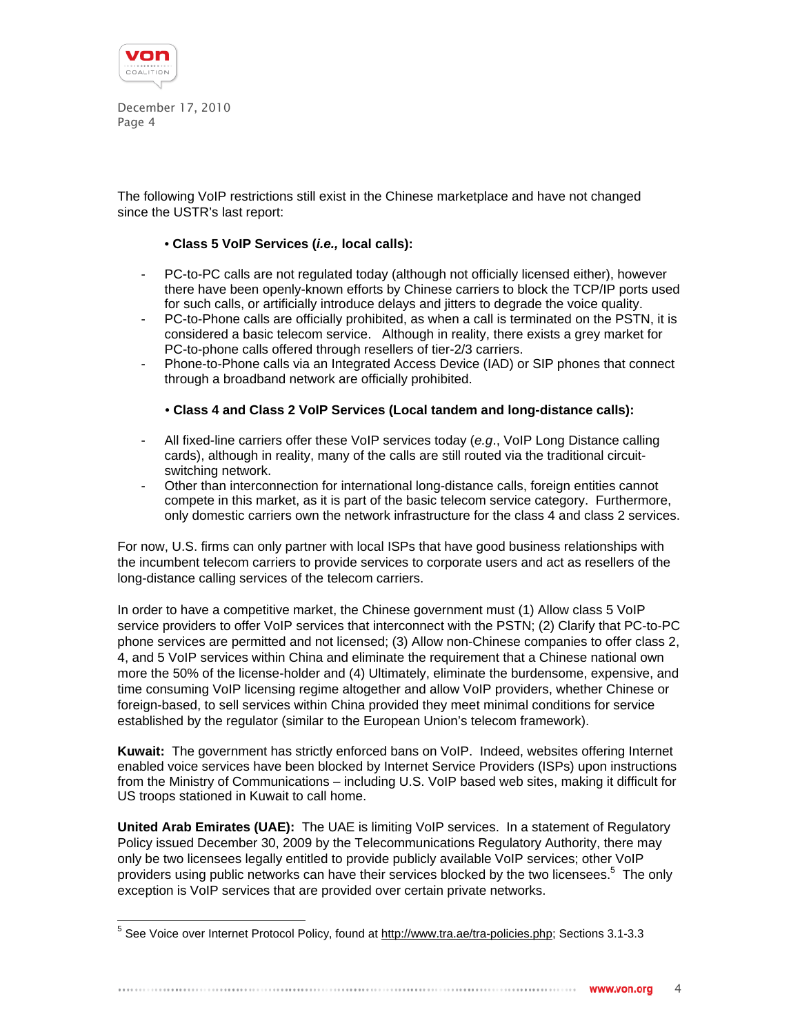

The following VoIP restrictions still exist in the Chinese marketplace and have not changed since the USTR's last report:

## • **Class 5 VoIP Services (***i.e.,* **local calls):**

- PC-to-PC calls are not regulated today (although not officially licensed either), however there have been openly-known efforts by Chinese carriers to block the TCP/IP ports used for such calls, or artificially introduce delays and jitters to degrade the voice quality.
- PC-to-Phone calls are officially prohibited, as when a call is terminated on the PSTN, it is considered a basic telecom service. Although in reality, there exists a grey market for PC-to-phone calls offered through resellers of tier-2/3 carriers.
- Phone-to-Phone calls via an Integrated Access Device (IAD) or SIP phones that connect through a broadband network are officially prohibited.

## • **Class 4 and Class 2 VoIP Services (Local tandem and long-distance calls):**

- All fixed-line carriers offer these VoIP services today (*e.g*., VoIP Long Distance calling cards), although in reality, many of the calls are still routed via the traditional circuitswitching network.
- Other than interconnection for international long-distance calls, foreign entities cannot compete in this market, as it is part of the basic telecom service category. Furthermore, only domestic carriers own the network infrastructure for the class 4 and class 2 services.

For now, U.S. firms can only partner with local ISPs that have good business relationships with the incumbent telecom carriers to provide services to corporate users and act as resellers of the long-distance calling services of the telecom carriers.

In order to have a competitive market, the Chinese government must (1) Allow class 5 VoIP service providers to offer VoIP services that interconnect with the PSTN; (2) Clarify that PC-to-PC phone services are permitted and not licensed; (3) Allow non-Chinese companies to offer class 2, 4, and 5 VoIP services within China and eliminate the requirement that a Chinese national own more the 50% of the license-holder and (4) Ultimately, eliminate the burdensome, expensive, and time consuming VoIP licensing regime altogether and allow VoIP providers, whether Chinese or foreign-based, to sell services within China provided they meet minimal conditions for service established by the regulator (similar to the European Union's telecom framework).

**Kuwait:** The government has strictly enforced bans on VoIP. Indeed, websites offering Internet enabled voice services have been blocked by Internet Service Providers (ISPs) upon instructions from the Ministry of Communications – including U.S. VoIP based web sites, making it difficult for US troops stationed in Kuwait to call home.

**United Arab Emirates (UAE):** The UAE is limiting VoIP services. In a statement of Regulatory Policy issued December 30, 2009 by the Telecommunications Regulatory Authority, there may only be two licensees legally entitled to provide publicly available VoIP services; other VoIP providers using public networks can have their services blocked by the two licensees.<sup>5</sup> The only exception is VoIP services that are provided over certain private networks.

<sup>–&</sup>lt;br><sup>5</sup> See Voice over Internet Protocol Policy, found at <u>http://www.tra.ae/tra-policies.php</u>; Sections 3.1-3.3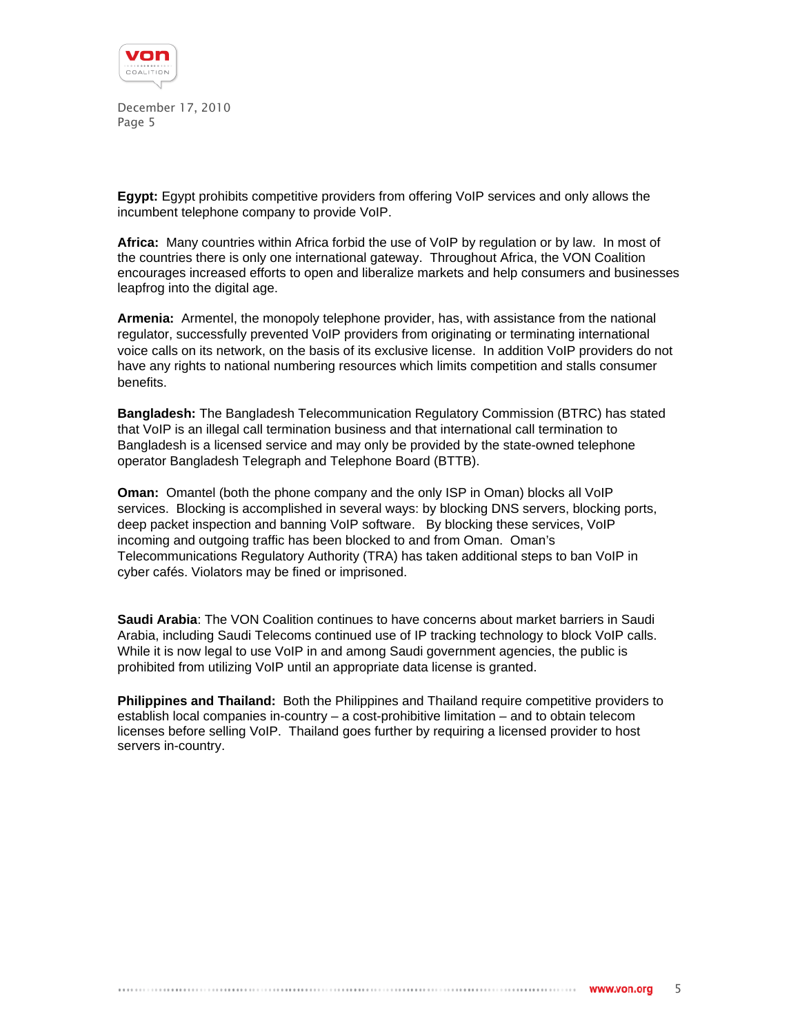

**Egypt:** Egypt prohibits competitive providers from offering VoIP services and only allows the incumbent telephone company to provide VoIP.

**Africa:** Many countries within Africa forbid the use of VoIP by regulation or by law. In most of the countries there is only one international gateway. Throughout Africa, the VON Coalition encourages increased efforts to open and liberalize markets and help consumers and businesses leapfrog into the digital age.

**Armenia:** Armentel, the monopoly telephone provider, has, with assistance from the national regulator, successfully prevented VoIP providers from originating or terminating international voice calls on its network, on the basis of its exclusive license. In addition VoIP providers do not have any rights to national numbering resources which limits competition and stalls consumer benefits.

**Bangladesh:** The Bangladesh Telecommunication Regulatory Commission (BTRC) has stated that VoIP is an illegal call termination business and that international call termination to Bangladesh is a licensed service and may only be provided by the state-owned telephone operator Bangladesh Telegraph and Telephone Board (BTTB).

**Oman:** Omantel (both the phone company and the only ISP in Oman) blocks all VoIP services. Blocking is accomplished in several ways: by blocking DNS servers, blocking ports, deep packet inspection and banning VoIP software. By blocking these services, VoIP incoming and outgoing traffic has been blocked to and from Oman. Oman's Telecommunications Regulatory Authority (TRA) has taken additional steps to ban VoIP in cyber cafés. Violators may be fined or imprisoned.

**Saudi Arabia**: The VON Coalition continues to have concerns about market barriers in Saudi Arabia, including Saudi Telecoms continued use of IP tracking technology to block VoIP calls. While it is now legal to use VoIP in and among Saudi government agencies, the public is prohibited from utilizing VoIP until an appropriate data license is granted.

**Philippines and Thailand:** Both the Philippines and Thailand require competitive providers to establish local companies in-country – a cost-prohibitive limitation – and to obtain telecom licenses before selling VoIP. Thailand goes further by requiring a licensed provider to host servers in-country.